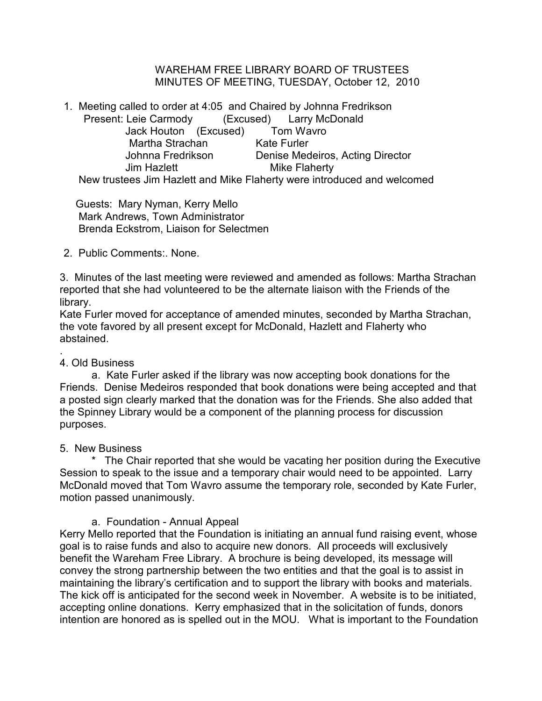WAREHAM FREE LIBRARY BOARD OF TRUSTEES MINUTES OF MEETING, TUESDAY, October 12, 2010

1. Meeting called to order at 4:05 and Chaired by Johnna Fredrikson Present: Leie Carmody (Excused) Larry McDonald Jack Houton (Excused) Tom Wavro Martha Strachan Kate Furler Johnna Fredrikson Denise Medeiros, Acting Director Jim Hazlett **Mike Flaherty** New trustees Jim Hazlett and Mike Flaherty were introduced and welcomed

 Guests: Mary Nyman, Kerry Mello Mark Andrews, Town Administrator Brenda Eckstrom, Liaison for Selectmen

2. Public Comments:. None.

3. Minutes of the last meeting were reviewed and amended as follows: Martha Strachan reported that she had volunteered to be the alternate liaison with the Friends of the library.

Kate Furler moved for acceptance of amended minutes, seconded by Martha Strachan, the vote favored by all present except for McDonald, Hazlett and Flaherty who abstained.

#### . 4. Old Business

a. Kate Furler asked if the library was now accepting book donations for the Friends. Denise Medeiros responded that book donations were being accepted and that a posted sign clearly marked that the donation was for the Friends. She also added that the Spinney Library would be a component of the planning process for discussion purposes.

## 5. New Business

\* The Chair reported that she would be vacating her position during the Executive Session to speak to the issue and a temporary chair would need to be appointed. Larry McDonald moved that Tom Wavro assume the temporary role, seconded by Kate Furler, motion passed unanimously.

# a. Foundation - Annual Appeal

Kerry Mello reported that the Foundation is initiating an annual fund raising event, whose goal is to raise funds and also to acquire new donors. All proceeds will exclusively benefit the Wareham Free Library. A brochure is being developed, its message will convey the strong partnership between the two entities and that the goal is to assist in maintaining the library's certification and to support the library with books and materials. The kick off is anticipated for the second week in November. A website is to be initiated, accepting online donations. Kerry emphasized that in the solicitation of funds, donors intention are honored as is spelled out in the MOU. What is important to the Foundation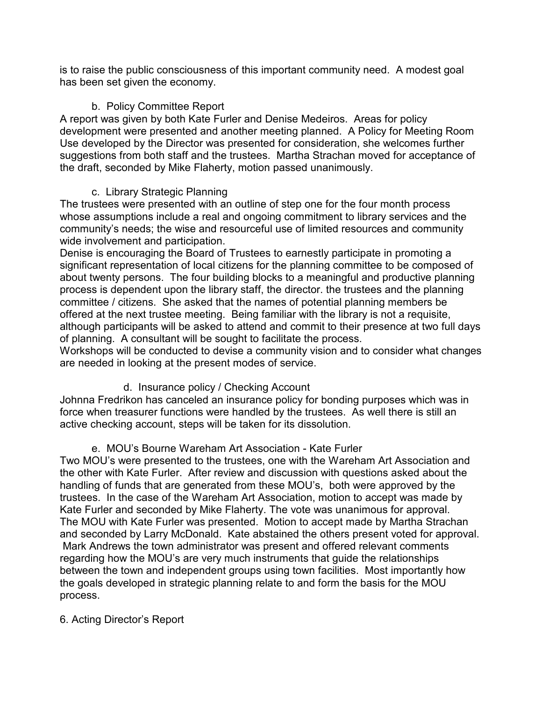is to raise the public consciousness of this important community need. A modest goal has been set given the economy.

## b. Policy Committee Report

A report was given by both Kate Furler and Denise Medeiros. Areas for policy development were presented and another meeting planned. A Policy for Meeting Room Use developed by the Director was presented for consideration, she welcomes further suggestions from both staff and the trustees. Martha Strachan moved for acceptance of the draft, seconded by Mike Flaherty, motion passed unanimously.

## c. Library Strategic Planning

The trustees were presented with an outline of step one for the four month process whose assumptions include a real and ongoing commitment to library services and the community's needs; the wise and resourceful use of limited resources and community wide involvement and participation.

Denise is encouraging the Board of Trustees to earnestly participate in promoting a significant representation of local citizens for the planning committee to be composed of about twenty persons. The four building blocks to a meaningful and productive planning process is dependent upon the library staff, the director. the trustees and the planning committee / citizens. She asked that the names of potential planning members be offered at the next trustee meeting. Being familiar with the library is not a requisite, although participants will be asked to attend and commit to their presence at two full days of planning. A consultant will be sought to facilitate the process.

Workshops will be conducted to devise a community vision and to consider what changes are needed in looking at the present modes of service.

# d. Insurance policy / Checking Account

Johnna Fredrikon has canceled an insurance policy for bonding purposes which was in force when treasurer functions were handled by the trustees. As well there is still an active checking account, steps will be taken for its dissolution.

## e. MOU's Bourne Wareham Art Association - Kate Furler

Two MOU's were presented to the trustees, one with the Wareham Art Association and the other with Kate Furler. After review and discussion with questions asked about the handling of funds that are generated from these MOU's, both were approved by the trustees. In the case of the Wareham Art Association, motion to accept was made by Kate Furler and seconded by Mike Flaherty. The vote was unanimous for approval. The MOU with Kate Furler was presented. Motion to accept made by Martha Strachan and seconded by Larry McDonald. Kate abstained the others present voted for approval. Mark Andrews the town administrator was present and offered relevant comments regarding how the MOU's are very much instruments that guide the relationships between the town and independent groups using town facilities. Most importantly how the goals developed in strategic planning relate to and form the basis for the MOU process.

## 6. Acting Director's Report